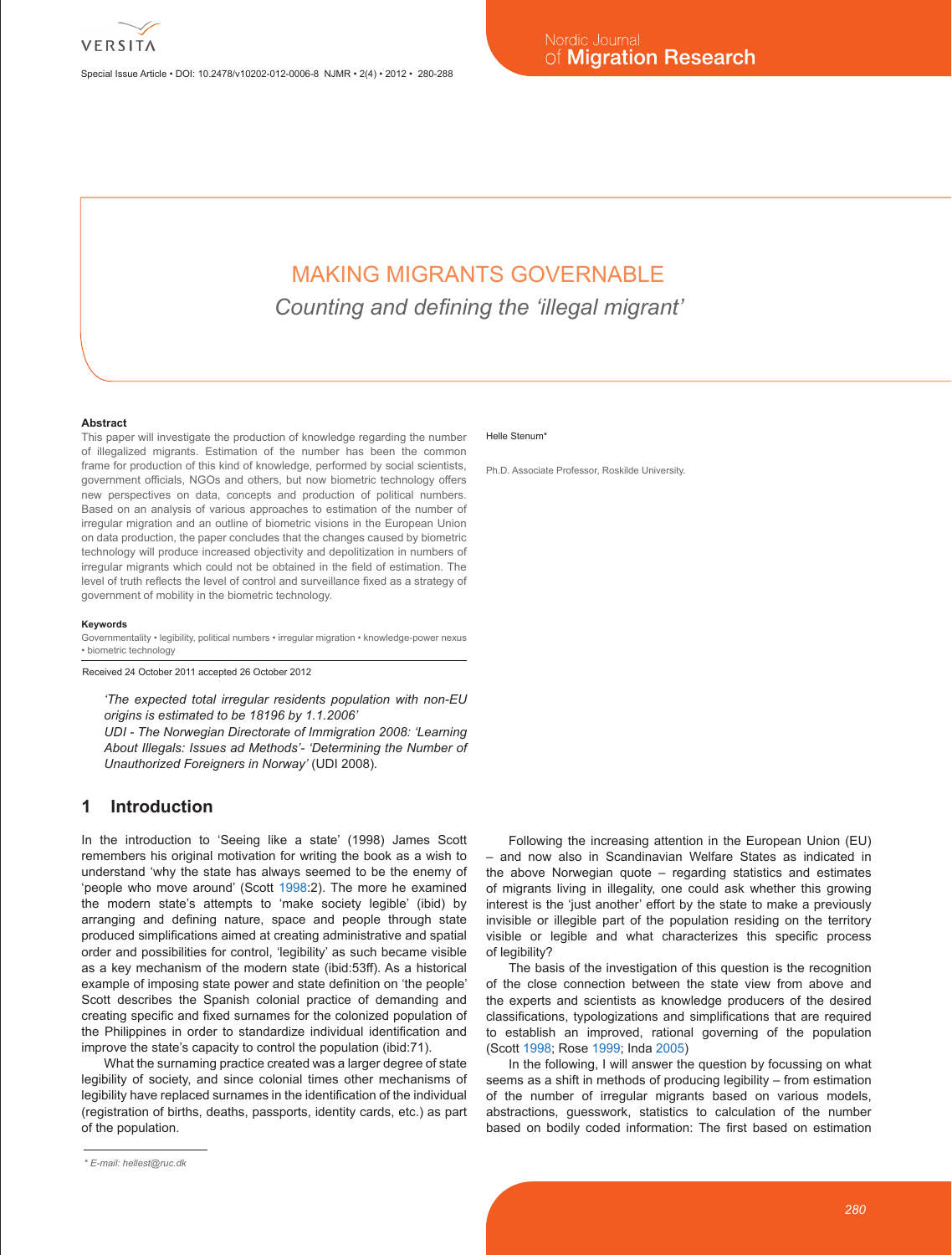

Special Issue Article • DOI: 10.2478/v10202-012-0006-8 NJMR • 2(4) • 2012 • 280-288

# MAKING MIGRANTS GOVERNABLE

*Counting and defining the 'illegal migrant'*

#### **Abstract**

This paper will investigate the production of knowledge regarding the number of illegalized migrants. Estimation of the number has been the common frame for production of this kind of knowledge, performed by social scientists, government officials, NGOs and others, but now biometric technology offers new perspectives on data, concepts and production of political numbers. Based on an analysis of various approaches to estimation of the number of irregular migration and an outline of biometric visions in the European Union on data production, the paper concludes that the changes caused by biometric technology will produce increased objectivity and depolitization in numbers of irregular migrants which could not be obtained in the field of estimation. The level of truth reflects the level of control and surveillance fixed as a strategy of government of mobility in the biometric technology.

#### **Keywords**

Governmentality • legibility, political numbers • irregular migration • knowledge-power nexus • biometric technology

Received 24 October 2011 accepted 26 October 2012

*'The expected total irregular residents population with non-EU origins is estimated to be 18196 by 1.1.2006'*

*UDI - The Norwegian Directorate of Immigration 2008: 'Learning About Illegals: Issues ad Methods'- 'Determining the Number of Unauthorized Foreigners in Norway'* (UDI 2008)*.*

# **1 Introduction**

In the introduction to 'Seeing like a state' (1998) James Scott remembers his original motivation for writing the book as a wish to understand 'why the state has always seemed to be the enemy of 'people who move around' (Scott 1998:2). The more he examined the modern state's attempts to 'make society legible' (ibid) by arranging and defining nature, space and people through state produced simplifications aimed at creating administrative and spatial order and possibilities for control, 'legibility' as such became visible as a key mechanism of the modern state (ibid:53ff). As a historical example of imposing state power and state definition on 'the people' Scott describes the Spanish colonial practice of demanding and creating specific and fixed surnames for the colonized population of the Philippines in order to standardize individual identification and improve the state's capacity to control the population (ibid:71).

What the surnaming practice created was a larger degree of state legibility of society, and since colonial times other mechanisms of legibility have replaced surnames in the identification of the individual (registration of births, deaths, passports, identity cards, etc.) as part of the population.

#### Helle Stenum<sup>\*</sup>

Ph.D. Associate Professor, Roskilde University.

Following the increasing attention in the European Union (EU) – and now also in Scandinavian Welfare States as indicated in the above Norwegian quote – regarding statistics and estimates of migrants living in illegality, one could ask whether this growing interest is the 'just another' effort by the state to make a previously invisible or illegible part of the population residing on the territory visible or legible and what characterizes this specific process of legibility?

The basis of the investigation of this question is the recognition of the close connection between the state view from above and the experts and scientists as knowledge producers of the desired classifications, typologizations and simplifications that are required to establish an improved, rational governing of the population (Scott 1998; Rose 1999; Inda 2005)

In the following, I will answer the question by focussing on what seems as a shift in methods of producing legibility – from estimation of the number of irregular migrants based on various models, abstractions, guesswork, statistics to calculation of the number based on bodily coded information: The first based on estimation

*<sup>\*</sup> E-mail: hellest@ruc.dk*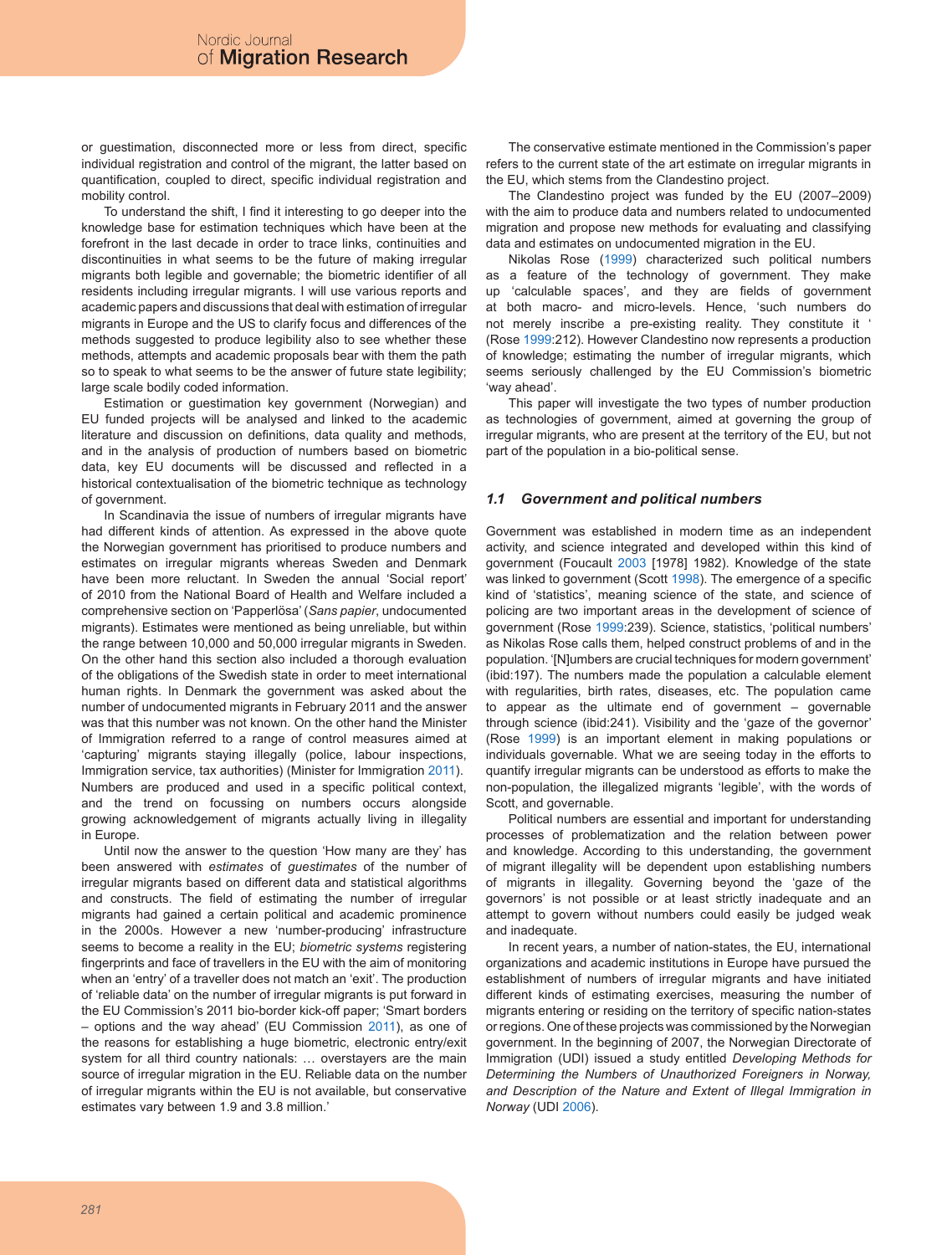or guestimation, disconnected more or less from direct, specific individual registration and control of the migrant, the latter based on quantification, coupled to direct, specific individual registration and mobility control.

To understand the shift, I find it interesting to go deeper into the knowledge base for estimation techniques which have been at the forefront in the last decade in order to trace links, continuities and discontinuities in what seems to be the future of making irregular migrants both legible and governable; the biometric identifier of all residents including irregular migrants. I will use various reports and academic papers and discussions that deal with estimation of irregular migrants in Europe and the US to clarify focus and differences of the methods suggested to produce legibility also to see whether these methods, attempts and academic proposals bear with them the path so to speak to what seems to be the answer of future state legibility; large scale bodily coded information.

Estimation or guestimation key government (Norwegian) and EU funded projects will be analysed and linked to the academic literature and discussion on definitions, data quality and methods, and in the analysis of production of numbers based on biometric data, key EU documents will be discussed and reflected in a historical contextualisation of the biometric technique as technology of government.

In Scandinavia the issue of numbers of irregular migrants have had different kinds of attention. As expressed in the above quote the Norwegian government has prioritised to produce numbers and estimates on irregular migrants whereas Sweden and Denmark have been more reluctant. In Sweden the annual 'Social report' of 2010 from the National Board of Health and Welfare included a comprehensive section on 'Papperlösa' (*Sans papier*, undocumented migrants). Estimates were mentioned as being unreliable, but within the range between 10,000 and 50,000 irregular migrants in Sweden. On the other hand this section also included a thorough evaluation of the obligations of the Swedish state in order to meet international human rights. In Denmark the government was asked about the number of undocumented migrants in February 2011 and the answer was that this number was not known. On the other hand the Minister of Immigration referred to a range of control measures aimed at 'capturing' migrants staying illegally (police, labour inspections, Immigration service, tax authorities) (Minister for Immigration 2011). Numbers are produced and used in a specific political context, and the trend on focussing on numbers occurs alongside growing acknowledgement of migrants actually living in illegality in Europe.

Until now the answer to the question 'How many are they' has been answered with *estimates* of *guestimates* of the number of irregular migrants based on different data and statistical algorithms and constructs. The field of estimating the number of irregular migrants had gained a certain political and academic prominence in the 2000s. However a new 'number-producing' infrastructure seems to become a reality in the EU; *biometric systems* registering fingerprints and face of travellers in the EU with the aim of monitoring when an 'entry' of a traveller does not match an 'exit'. The production of 'reliable data' on the number of irregular migrants is put forward in the EU Commission's 2011 bio-border kick-off paper; 'Smart borders – options and the way ahead' (EU Commission 2011), as one of the reasons for establishing a huge biometric, electronic entry/exit system for all third country nationals: … overstayers are the main source of irregular migration in the EU. Reliable data on the number of irregular migrants within the EU is not available, but conservative estimates vary between 1.9 and 3.8 million.'

The conservative estimate mentioned in the Commission's paper refers to the current state of the art estimate on irregular migrants in the EU, which stems from the Clandestino project.

The Clandestino project was funded by the EU (2007–2009) with the aim to produce data and numbers related to undocumented migration and propose new methods for evaluating and classifying data and estimates on undocumented migration in the EU.

Nikolas Rose (1999) characterized such political numbers as a feature of the technology of government. They make up 'calculable spaces', and they are fields of government at both macro- and micro-levels. Hence, 'such numbers do not merely inscribe a pre-existing reality. They constitute it ' (Rose 1999:212). However Clandestino now represents a production of knowledge; estimating the number of irregular migrants, which seems seriously challenged by the EU Commission's biometric 'way ahead'.

This paper will investigate the two types of number production as technologies of government, aimed at governing the group of irregular migrants, who are present at the territory of the EU, but not part of the population in a bio-political sense.

### *1.1 Government and political numbers*

Government was established in modern time as an independent activity, and science integrated and developed within this kind of government (Foucault 2003 [1978] 1982). Knowledge of the state was linked to government (Scott 1998). The emergence of a specific kind of 'statistics', meaning science of the state, and science of policing are two important areas in the development of science of government (Rose 1999:239). Science, statistics, 'political numbers' as Nikolas Rose calls them, helped construct problems of and in the population. '[N]umbers are crucial techniques for modern government' (ibid:197). The numbers made the population a calculable element with regularities, birth rates, diseases, etc. The population came to appear as the ultimate end of government – governable through science (ibid:241). Visibility and the 'gaze of the governor' (Rose 1999) is an important element in making populations or individuals governable. What we are seeing today in the efforts to quantify irregular migrants can be understood as efforts to make the non-population, the illegalized migrants 'legible', with the words of Scott, and governable.

Political numbers are essential and important for understanding processes of problematization and the relation between power and knowledge. According to this understanding, the government of migrant illegality will be dependent upon establishing numbers of migrants in illegality. Governing beyond the 'gaze of the governors' is not possible or at least strictly inadequate and an attempt to govern without numbers could easily be judged weak and inadequate.

In recent years, a number of nation-states, the EU, international organizations and academic institutions in Europe have pursued the establishment of numbers of irregular migrants and have initiated different kinds of estimating exercises, measuring the number of migrants entering or residing on the territory of specific nation-states or regions. One of these projects was commissioned by the Norwegian government. In the beginning of 2007, the Norwegian Directorate of Immigration (UDI) issued a study entitled *Developing Methods for Determining the Numbers of Unauthorized Foreigners in Norway, and Description of the Nature and Extent of Illegal Immigration in Norway* (UDI 2006).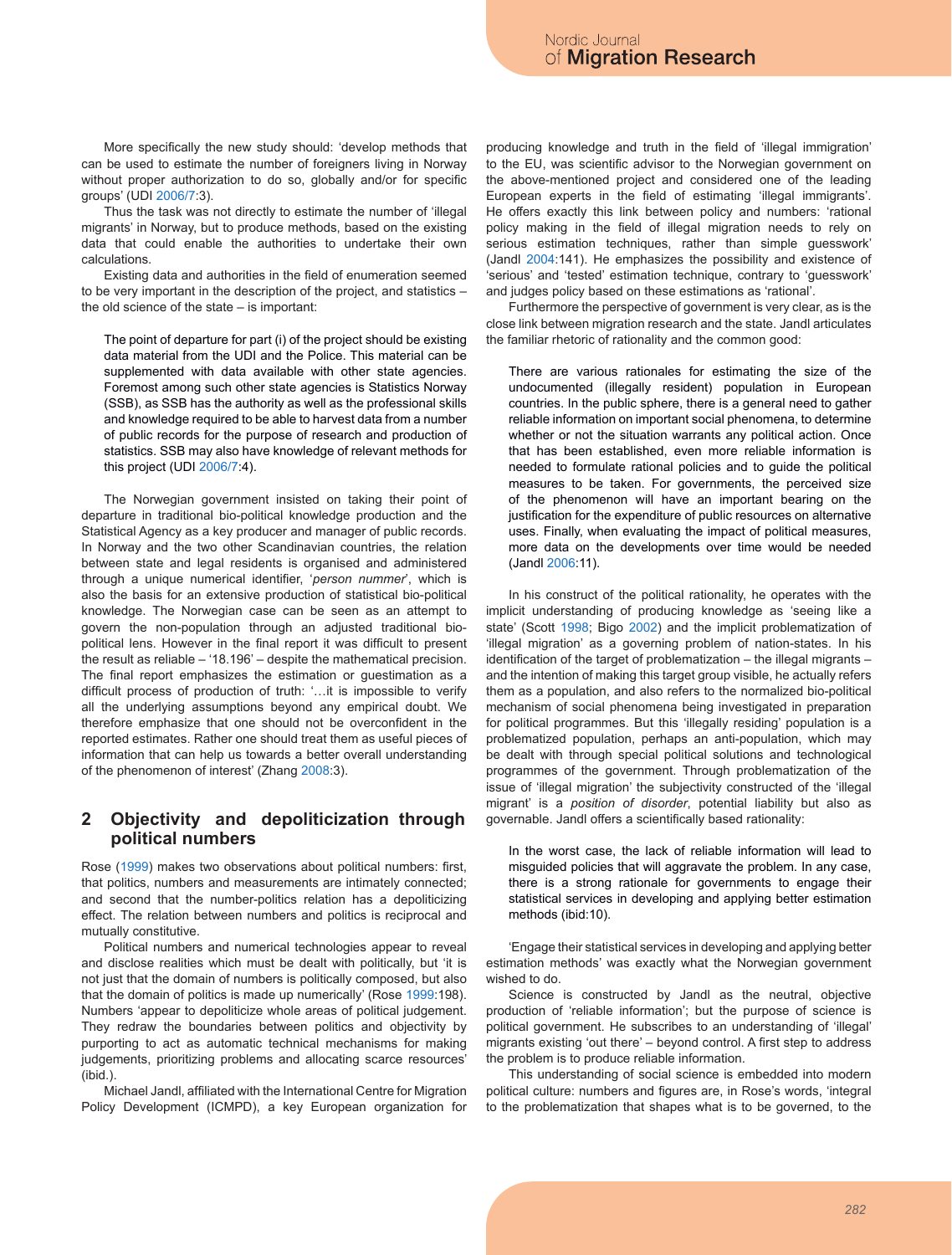More specifically the new study should: 'develop methods that can be used to estimate the number of foreigners living in Norway without proper authorization to do so, globally and/or for specific groups' (UDI 2006/7:3).

Thus the task was not directly to estimate the number of 'illegal migrants' in Norway, but to produce methods, based on the existing data that could enable the authorities to undertake their own calculations.

Existing data and authorities in the field of enumeration seemed to be very important in the description of the project, and statistics – the old science of the state – is important:

The point of departure for part (i) of the project should be existing data material from the UDI and the Police. This material can be supplemented with data available with other state agencies. Foremost among such other state agencies is Statistics Norway (SSB), as SSB has the authority as well as the professional skills and knowledge required to be able to harvest data from a number of public records for the purpose of research and production of statistics. SSB may also have knowledge of relevant methods for this project (UDI 2006/7:4).

The Norwegian government insisted on taking their point of departure in traditional bio-political knowledge production and the Statistical Agency as a key producer and manager of public records. In Norway and the two other Scandinavian countries, the relation between state and legal residents is organised and administered through a unique numerical identifier, '*person nummer*', which is also the basis for an extensive production of statistical bio-political knowledge. The Norwegian case can be seen as an attempt to govern the non-population through an adjusted traditional biopolitical lens. However in the final report it was difficult to present the result as reliable – '18.196' – despite the mathematical precision. The final report emphasizes the estimation or guestimation as a difficult process of production of truth: '…it is impossible to verify all the underlying assumptions beyond any empirical doubt. We therefore emphasize that one should not be overconfident in the reported estimates. Rather one should treat them as useful pieces of information that can help us towards a better overall understanding of the phenomenon of interest' (Zhang 2008:3).

# **2 Objectivity and depoliticization through political numbers**

Rose (1999) makes two observations about political numbers: first, that politics, numbers and measurements are intimately connected; and second that the number-politics relation has a depoliticizing effect. The relation between numbers and politics is reciprocal and mutually constitutive.

Political numbers and numerical technologies appear to reveal and disclose realities which must be dealt with politically, but 'it is not just that the domain of numbers is politically composed, but also that the domain of politics is made up numerically' (Rose 1999:198). Numbers 'appear to depoliticize whole areas of political judgement. They redraw the boundaries between politics and objectivity by purporting to act as automatic technical mechanisms for making judgements, prioritizing problems and allocating scarce resources' (ibid.).

Michael Jandl, affiliated with the International Centre for Migration Policy Development (ICMPD), a key European organization for producing knowledge and truth in the field of 'illegal immigration' to the EU, was scientific advisor to the Norwegian government on the above-mentioned project and considered one of the leading European experts in the field of estimating 'illegal immigrants'. He offers exactly this link between policy and numbers: 'rational policy making in the field of illegal migration needs to rely on serious estimation techniques, rather than simple guesswork' (Jandl 2004:141). He emphasizes the possibility and existence of 'serious' and 'tested' estimation technique, contrary to 'guesswork' and judges policy based on these estimations as 'rational'.

Furthermore the perspective of government is very clear, as is the close link between migration research and the state. Jandl articulates the familiar rhetoric of rationality and the common good:

There are various rationales for estimating the size of the undocumented (illegally resident) population in European countries. In the public sphere, there is a general need to gather reliable information on important social phenomena, to determine whether or not the situation warrants any political action. Once that has been established, even more reliable information is needed to formulate rational policies and to guide the political measures to be taken. For governments, the perceived size of the phenomenon will have an important bearing on the justification for the expenditure of public resources on alternative uses. Finally, when evaluating the impact of political measures, more data on the developments over time would be needed (Jandl 2006:11).

In his construct of the political rationality, he operates with the implicit understanding of producing knowledge as 'seeing like a state' (Scott 1998; Bigo 2002) and the implicit problematization of 'illegal migration' as a governing problem of nation-states. In his identification of the target of problematization – the illegal migrants – and the intention of making this target group visible, he actually refers them as a population, and also refers to the normalized bio-political mechanism of social phenomena being investigated in preparation for political programmes. But this 'illegally residing' population is a problematized population, perhaps an anti-population, which may be dealt with through special political solutions and technological programmes of the government. Through problematization of the issue of 'illegal migration' the subjectivity constructed of the 'illegal migrant' is a *position of disorder*, potential liability but also as governable. Jandl offers a scientifically based rationality:

In the worst case, the lack of reliable information will lead to misguided policies that will aggravate the problem. In any case, there is a strong rationale for governments to engage their statistical services in developing and applying better estimation methods (ibid:10).

'Engage their statistical services in developing and applying better estimation methods' was exactly what the Norwegian government wished to do.

Science is constructed by Jandl as the neutral, objective production of 'reliable information'; but the purpose of science is political government. He subscribes to an understanding of 'illegal' migrants existing 'out there' – beyond control. A first step to address the problem is to produce reliable information.

This understanding of social science is embedded into modern political culture: numbers and figures are, in Rose's words, 'integral to the problematization that shapes what is to be governed, to the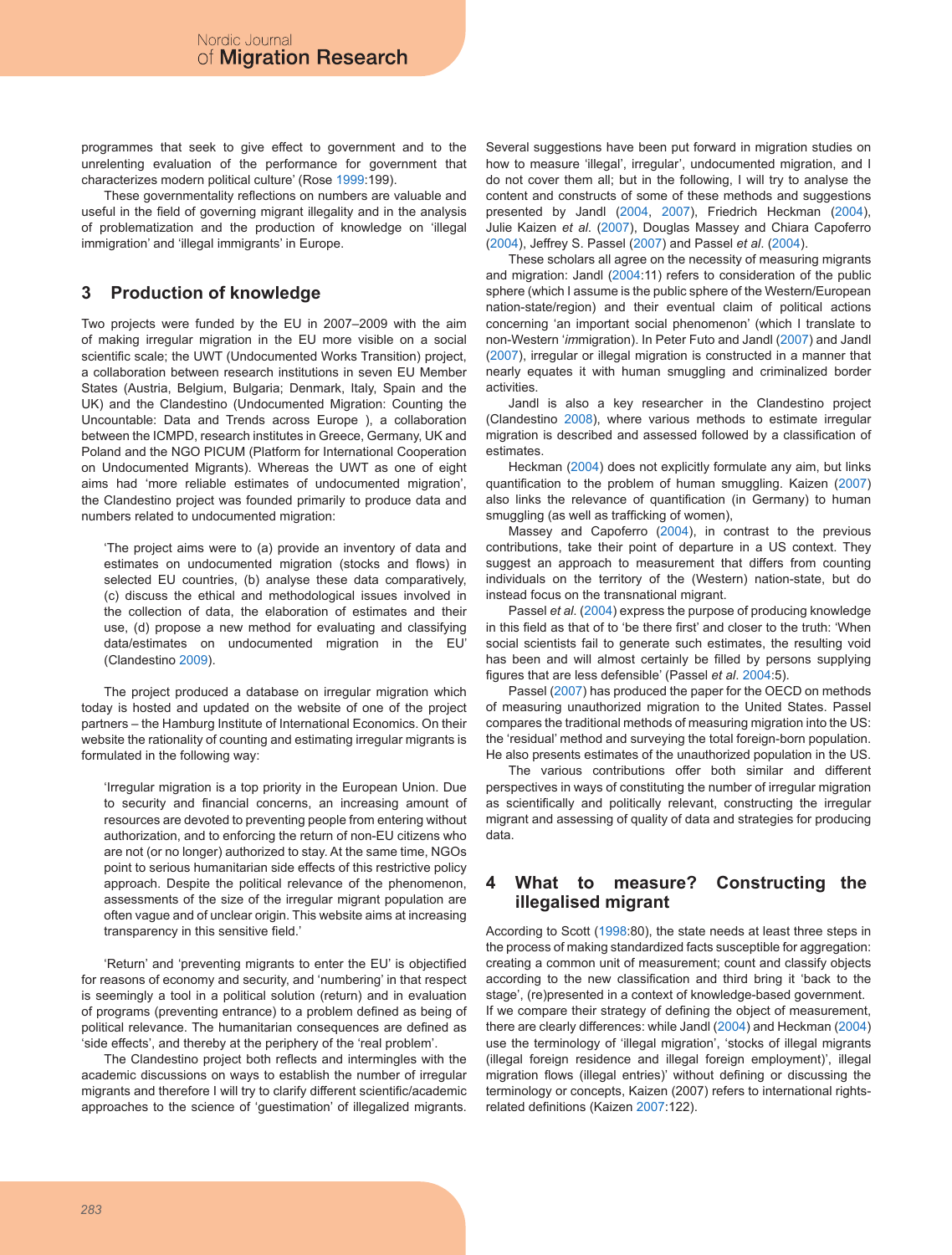programmes that seek to give effect to government and to the unrelenting evaluation of the performance for government that characterizes modern political culture' (Rose 1999:199).

These governmentality reflections on numbers are valuable and useful in the field of governing migrant illegality and in the analysis of problematization and the production of knowledge on 'illegal immigration' and 'illegal immigrants' in Europe.

# **3 Production of knowledge**

Two projects were funded by the EU in 2007–2009 with the aim of making irregular migration in the EU more visible on a social scientific scale; the UWT (Undocumented Works Transition) project, a collaboration between research institutions in seven EU Member States (Austria, Belgium, Bulgaria; Denmark, Italy, Spain and the UK) and the Clandestino (Undocumented Migration: Counting the Uncountable: Data and Trends across Europe ), a collaboration between the ICMPD, research institutes in Greece, Germany, UK and Poland and the NGO PICUM (Platform for International Cooperation on Undocumented Migrants). Whereas the UWT as one of eight aims had 'more reliable estimates of undocumented migration', the Clandestino project was founded primarily to produce data and numbers related to undocumented migration:

'The project aims were to (a) provide an inventory of data and estimates on undocumented migration (stocks and flows) in selected EU countries, (b) analyse these data comparatively, (c) discuss the ethical and methodological issues involved in the collection of data, the elaboration of estimates and their use, (d) propose a new method for evaluating and classifying data/estimates on undocumented migration in the EU' (Clandestino 2009).

The project produced a database on irregular migration which today is hosted and updated on the website of one of the project partners – the Hamburg Institute of International Economics. On their website the rationality of counting and estimating irregular migrants is formulated in the following way:

'Irregular migration is a top priority in the European Union. Due to security and financial concerns, an increasing amount of resources are devoted to preventing people from entering without authorization, and to enforcing the return of non-EU citizens who are not (or no longer) authorized to stay. At the same time, NGOs point to serious humanitarian side effects of this restrictive policy approach. Despite the political relevance of the phenomenon, assessments of the size of the irregular migrant population are often vague and of unclear origin. This website aims at increasing transparency in this sensitive field.'

'Return' and 'preventing migrants to enter the EU' is objectified for reasons of economy and security, and 'numbering' in that respect is seemingly a tool in a political solution (return) and in evaluation of programs (preventing entrance) to a problem defined as being of political relevance. The humanitarian consequences are defined as 'side effects', and thereby at the periphery of the 'real problem'.

The Clandestino project both reflects and intermingles with the academic discussions on ways to establish the number of irregular migrants and therefore I will try to clarify different scientific/academic approaches to the science of 'guestimation' of illegalized migrants.

Several suggestions have been put forward in migration studies on how to measure 'illegal', irregular', undocumented migration, and I do not cover them all; but in the following, I will try to analyse the content and constructs of some of these methods and suggestions presented by Jandl (2004, 2007), Friedrich Heckman (2004), Julie Kaizen *et al*. (2007), Douglas Massey and Chiara Capoferro (2004), Jeffrey S. Passel (2007) and Passel *et al*. (2004).

These scholars all agree on the necessity of measuring migrants and migration: Jandl (2004:11) refers to consideration of the public sphere (which I assume is the public sphere of the Western/European nation-state/region) and their eventual claim of political actions concerning 'an important social phenomenon' (which I translate to non-Western '*im*migration). In Peter Futo and Jandl (2007) and Jandl (2007), irregular or illegal migration is constructed in a manner that nearly equates it with human smuggling and criminalized border activities.

Jandl is also a key researcher in the Clandestino project (Clandestino 2008), where various methods to estimate irregular migration is described and assessed followed by a classification of estimates.

Heckman (2004) does not explicitly formulate any aim, but links quantification to the problem of human smuggling. Kaizen (2007) also links the relevance of quantification (in Germany) to human smuggling (as well as trafficking of women),

Massey and Capoferro (2004), in contrast to the previous contributions, take their point of departure in a US context. They suggest an approach to measurement that differs from counting individuals on the territory of the (Western) nation-state, but do instead focus on the transnational migrant.

Passel *et al*. (2004) express the purpose of producing knowledge in this field as that of to 'be there first' and closer to the truth: 'When social scientists fail to generate such estimates, the resulting void has been and will almost certainly be filled by persons supplying figures that are less defensible' (Passel *et al*. 2004:5).

Passel (2007) has produced the paper for the OECD on methods of measuring unauthorized migration to the United States. Passel compares the traditional methods of measuring migration into the US: the 'residual' method and surveying the total foreign-born population. He also presents estimates of the unauthorized population in the US.

The various contributions offer both similar and different perspectives in ways of constituting the number of irregular migration as scientifically and politically relevant, constructing the irregular migrant and assessing of quality of data and strategies for producing data.

# **4 What to measure? Constructing the illegalised migrant**

According to Scott (1998:80), the state needs at least three steps in the process of making standardized facts susceptible for aggregation: creating a common unit of measurement; count and classify objects according to the new classification and third bring it 'back to the stage', (re)presented in a context of knowledge-based government. If we compare their strategy of defining the object of measurement, there are clearly differences: while Jandl (2004) and Heckman (2004) use the terminology of 'illegal migration', 'stocks of illegal migrants (illegal foreign residence and illegal foreign employment)', illegal migration flows (illegal entries)' without defining or discussing the terminology or concepts, Kaizen (2007) refers to international rightsrelated definitions (Kaizen 2007:122).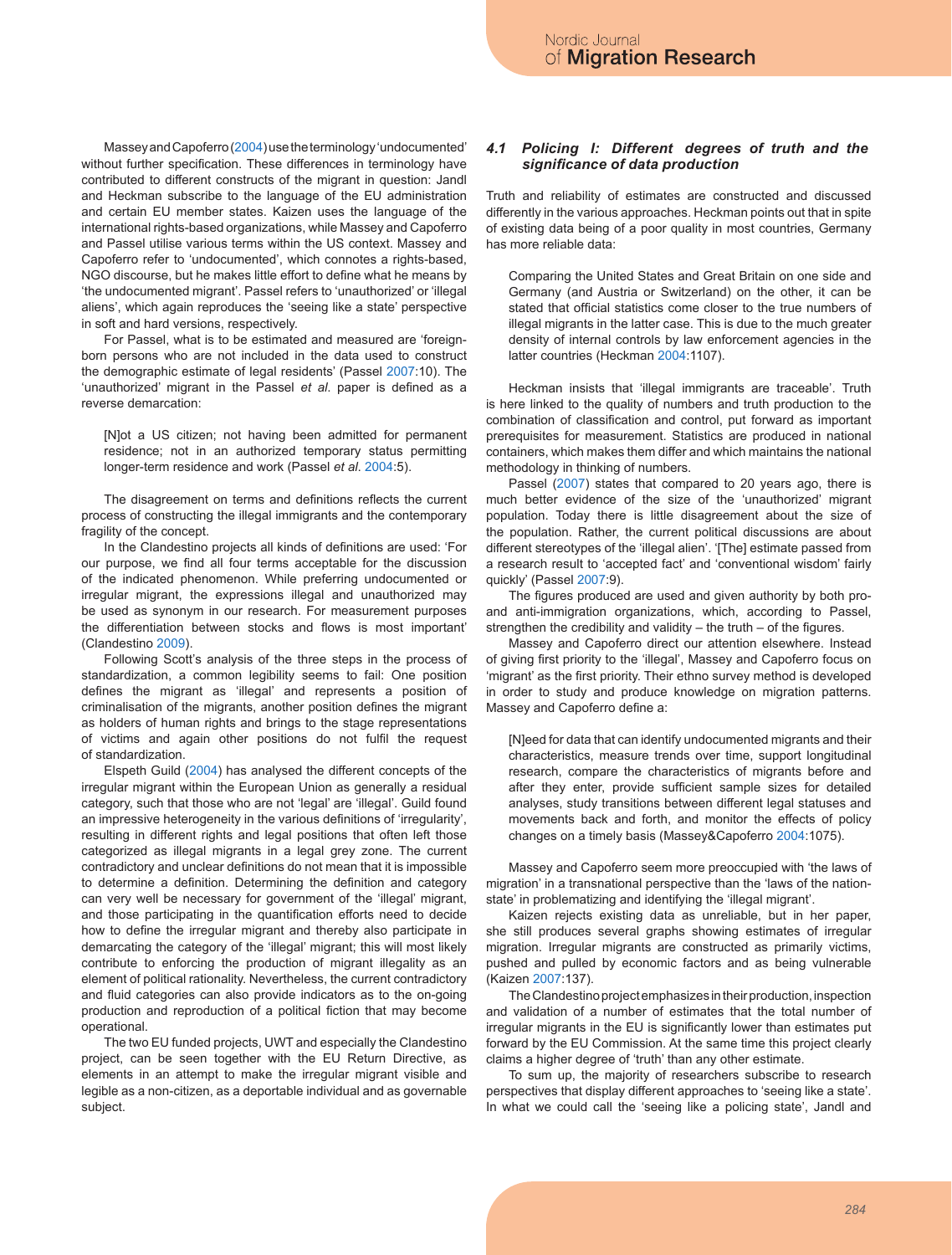Massey and Capoferro (2004) use the terminology 'undocumented' without further specification. These differences in terminology have contributed to different constructs of the migrant in question: Jandl and Heckman subscribe to the language of the EU administration and certain EU member states. Kaizen uses the language of the international rights-based organizations, while Massey and Capoferro and Passel utilise various terms within the US context. Massey and Capoferro refer to 'undocumented', which connotes a rights-based, NGO discourse, but he makes little effort to define what he means by 'the undocumented migrant'. Passel refers to 'unauthorized' or 'illegal aliens', which again reproduces the 'seeing like a state' perspective in soft and hard versions, respectively.

For Passel, what is to be estimated and measured are 'foreignborn persons who are not included in the data used to construct the demographic estimate of legal residents' (Passel 2007:10). The 'unauthorized' migrant in the Passel *et al*. paper is defined as a reverse demarcation:

[N]ot a US citizen; not having been admitted for permanent residence; not in an authorized temporary status permitting longer-term residence and work (Passel *et al*. 2004:5).

The disagreement on terms and definitions reflects the current process of constructing the illegal immigrants and the contemporary fragility of the concept.

In the Clandestino projects all kinds of definitions are used: 'For our purpose, we find all four terms acceptable for the discussion of the indicated phenomenon. While preferring undocumented or irregular migrant, the expressions illegal and unauthorized may be used as synonym in our research. For measurement purposes the differentiation between stocks and flows is most important' (Clandestino 2009).

Following Scott's analysis of the three steps in the process of standardization, a common legibility seems to fail: One position defines the migrant as 'illegal' and represents a position of criminalisation of the migrants, another position defines the migrant as holders of human rights and brings to the stage representations of victims and again other positions do not fulfil the request of standardization.

Elspeth Guild (2004) has analysed the different concepts of the irregular migrant within the European Union as generally a residual category, such that those who are not 'legal' are 'illegal'. Guild found an impressive heterogeneity in the various definitions of 'irregularity', resulting in different rights and legal positions that often left those categorized as illegal migrants in a legal grey zone. The current contradictory and unclear definitions do not mean that it is impossible to determine a definition. Determining the definition and category can very well be necessary for government of the 'illegal' migrant, and those participating in the quantification efforts need to decide how to define the irregular migrant and thereby also participate in demarcating the category of the 'illegal' migrant; this will most likely contribute to enforcing the production of migrant illegality as an element of political rationality. Nevertheless, the current contradictory and fluid categories can also provide indicators as to the on-going production and reproduction of a political fiction that may become operational.

The two EU funded projects, UWT and especially the Clandestino project, can be seen together with the EU Return Directive, as elements in an attempt to make the irregular migrant visible and legible as a non-citizen, as a deportable individual and as governable subject.

### *4.1 Policing I: Different degrees of truth and the significance of data production*

Truth and reliability of estimates are constructed and discussed differently in the various approaches. Heckman points out that in spite of existing data being of a poor quality in most countries, Germany has more reliable data:

Comparing the United States and Great Britain on one side and Germany (and Austria or Switzerland) on the other, it can be stated that official statistics come closer to the true numbers of illegal migrants in the latter case. This is due to the much greater density of internal controls by law enforcement agencies in the latter countries (Heckman 2004:1107).

Heckman insists that 'illegal immigrants are traceable'. Truth is here linked to the quality of numbers and truth production to the combination of classification and control, put forward as important prerequisites for measurement. Statistics are produced in national containers, which makes them differ and which maintains the national methodology in thinking of numbers.

Passel (2007) states that compared to 20 years ago, there is much better evidence of the size of the 'unauthorized' migrant population. Today there is little disagreement about the size of the population. Rather, the current political discussions are about different stereotypes of the 'illegal alien'. '[The] estimate passed from a research result to 'accepted fact' and 'conventional wisdom' fairly quickly' (Passel 2007:9).

The figures produced are used and given authority by both proand anti-immigration organizations, which, according to Passel, strengthen the credibility and validity  $-$  the truth  $-$  of the figures.

Massey and Capoferro direct our attention elsewhere. Instead of giving first priority to the 'illegal', Massey and Capoferro focus on 'migrant' as the first priority. Their ethno survey method is developed in order to study and produce knowledge on migration patterns. Massey and Capoferro define a:

[N]eed for data that can identify undocumented migrants and their characteristics, measure trends over time, support longitudinal research, compare the characteristics of migrants before and after they enter, provide sufficient sample sizes for detailed analyses, study transitions between different legal statuses and movements back and forth, and monitor the effects of policy changes on a timely basis (Massey&Capoferro 2004:1075).

Massey and Capoferro seem more preoccupied with 'the laws of migration' in a transnational perspective than the 'laws of the nationstate' in problematizing and identifying the 'illegal migrant'.

Kaizen rejects existing data as unreliable, but in her paper, she still produces several graphs showing estimates of irregular migration. Irregular migrants are constructed as primarily victims, pushed and pulled by economic factors and as being vulnerable (Kaizen 2007:137).

The Clandestino project emphasizes in their production, inspection and validation of a number of estimates that the total number of irregular migrants in the EU is significantly lower than estimates put forward by the EU Commission. At the same time this project clearly claims a higher degree of 'truth' than any other estimate.

To sum up, the majority of researchers subscribe to research perspectives that display different approaches to 'seeing like a state'. In what we could call the 'seeing like a policing state', Jandl and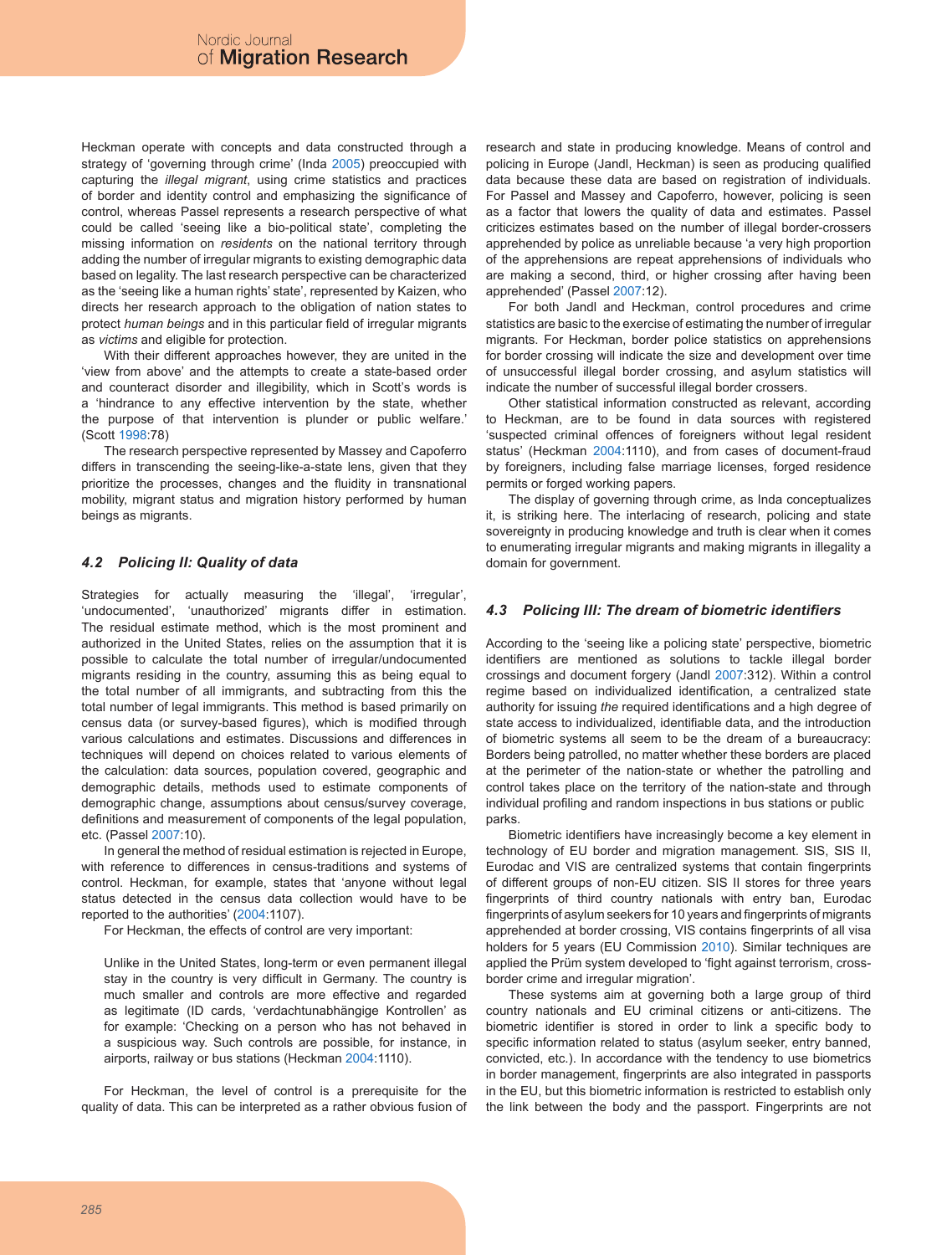Heckman operate with concepts and data constructed through a strategy of 'governing through crime' (Inda 2005) preoccupied with capturing the *illegal migrant*, using crime statistics and practices of border and identity control and emphasizing the significance of control, whereas Passel represents a research perspective of what could be called 'seeing like a bio-political state', completing the missing information on *residents* on the national territory through adding the number of irregular migrants to existing demographic data based on legality. The last research perspective can be characterized as the 'seeing like a human rights' state', represented by Kaizen, who directs her research approach to the obligation of nation states to protect *human beings* and in this particular field of irregular migrants as *victims* and eligible for protection.

With their different approaches however, they are united in the 'view from above' and the attempts to create a state-based order and counteract disorder and illegibility, which in Scott's words is a 'hindrance to any effective intervention by the state, whether the purpose of that intervention is plunder or public welfare.' (Scott 1998:78)

The research perspective represented by Massey and Capoferro differs in transcending the seeing-like-a-state lens, given that they prioritize the processes, changes and the fluidity in transnational mobility, migrant status and migration history performed by human beings as migrants.

### *4.2 Policing II: Quality of data*

Strategies for actually measuring the 'illegal', 'irregular', 'undocumented', 'unauthorized' migrants differ in estimation. The residual estimate method, which is the most prominent and authorized in the United States, relies on the assumption that it is possible to calculate the total number of irregular/undocumented migrants residing in the country, assuming this as being equal to the total number of all immigrants, and subtracting from this the total number of legal immigrants. This method is based primarily on census data (or survey-based figures), which is modified through various calculations and estimates. Discussions and differences in techniques will depend on choices related to various elements of the calculation: data sources, population covered, geographic and demographic details, methods used to estimate components of demographic change, assumptions about census/survey coverage, definitions and measurement of components of the legal population, etc. (Passel 2007:10).

In general the method of residual estimation is rejected in Europe, with reference to differences in census-traditions and systems of control. Heckman, for example, states that 'anyone without legal status detected in the census data collection would have to be reported to the authorities' (2004:1107).

For Heckman, the effects of control are very important:

Unlike in the United States, long-term or even permanent illegal stay in the country is very difficult in Germany. The country is much smaller and controls are more effective and regarded as legitimate (ID cards, 'verdachtunabhängige Kontrollen' as for example: 'Checking on a person who has not behaved in a suspicious way. Such controls are possible, for instance, in airports, railway or bus stations (Heckman 2004:1110).

For Heckman, the level of control is a prerequisite for the quality of data. This can be interpreted as a rather obvious fusion of research and state in producing knowledge. Means of control and policing in Europe (Jandl, Heckman) is seen as producing qualified data because these data are based on registration of individuals. For Passel and Massey and Capoferro, however, policing is seen as a factor that lowers the quality of data and estimates. Passel criticizes estimates based on the number of illegal border-crossers apprehended by police as unreliable because 'a very high proportion of the apprehensions are repeat apprehensions of individuals who are making a second, third, or higher crossing after having been apprehended' (Passel 2007:12).

For both Jandl and Heckman, control procedures and crime statistics are basic to the exercise of estimating the number of irregular migrants. For Heckman, border police statistics on apprehensions for border crossing will indicate the size and development over time of unsuccessful illegal border crossing, and asylum statistics will indicate the number of successful illegal border crossers.

Other statistical information constructed as relevant, according to Heckman, are to be found in data sources with registered 'suspected criminal offences of foreigners without legal resident status' (Heckman 2004:1110), and from cases of document-fraud by foreigners, including false marriage licenses, forged residence permits or forged working papers.

The display of governing through crime, as Inda conceptualizes it, is striking here. The interlacing of research, policing and state sovereignty in producing knowledge and truth is clear when it comes to enumerating irregular migrants and making migrants in illegality a domain for government.

### *4.3 Policing III: The dream of biometric identifiers*

According to the 'seeing like a policing state' perspective, biometric identifiers are mentioned as solutions to tackle illegal border crossings and document forgery (Jandl 2007:312). Within a control regime based on individualized identification, a centralized state authority for issuing *the* required identifications and a high degree of state access to individualized, identifiable data, and the introduction of biometric systems all seem to be the dream of a bureaucracy: Borders being patrolled, no matter whether these borders are placed at the perimeter of the nation-state or whether the patrolling and control takes place on the territory of the nation-state and through individual profiling and random inspections in bus stations or public parks.

Biometric identifiers have increasingly become a key element in technology of EU border and migration management. SIS, SIS II, Eurodac and VIS are centralized systems that contain fingerprints of different groups of non-EU citizen. SIS II stores for three years fingerprints of third country nationals with entry ban, Eurodac fingerprints of asylum seekers for 10 years and fingerprints of migrants apprehended at border crossing, VIS contains fingerprints of all visa holders for 5 years (EU Commission 2010). Similar techniques are applied the Prüm system developed to 'fight against terrorism, crossborder crime and irregular migration'.

These systems aim at governing both a large group of third country nationals and EU criminal citizens or anti-citizens. The biometric identifier is stored in order to link a specific body to specific information related to status (asylum seeker, entry banned, convicted, etc.). In accordance with the tendency to use biometrics in border management, fingerprints are also integrated in passports in the EU, but this biometric information is restricted to establish only the link between the body and the passport. Fingerprints are not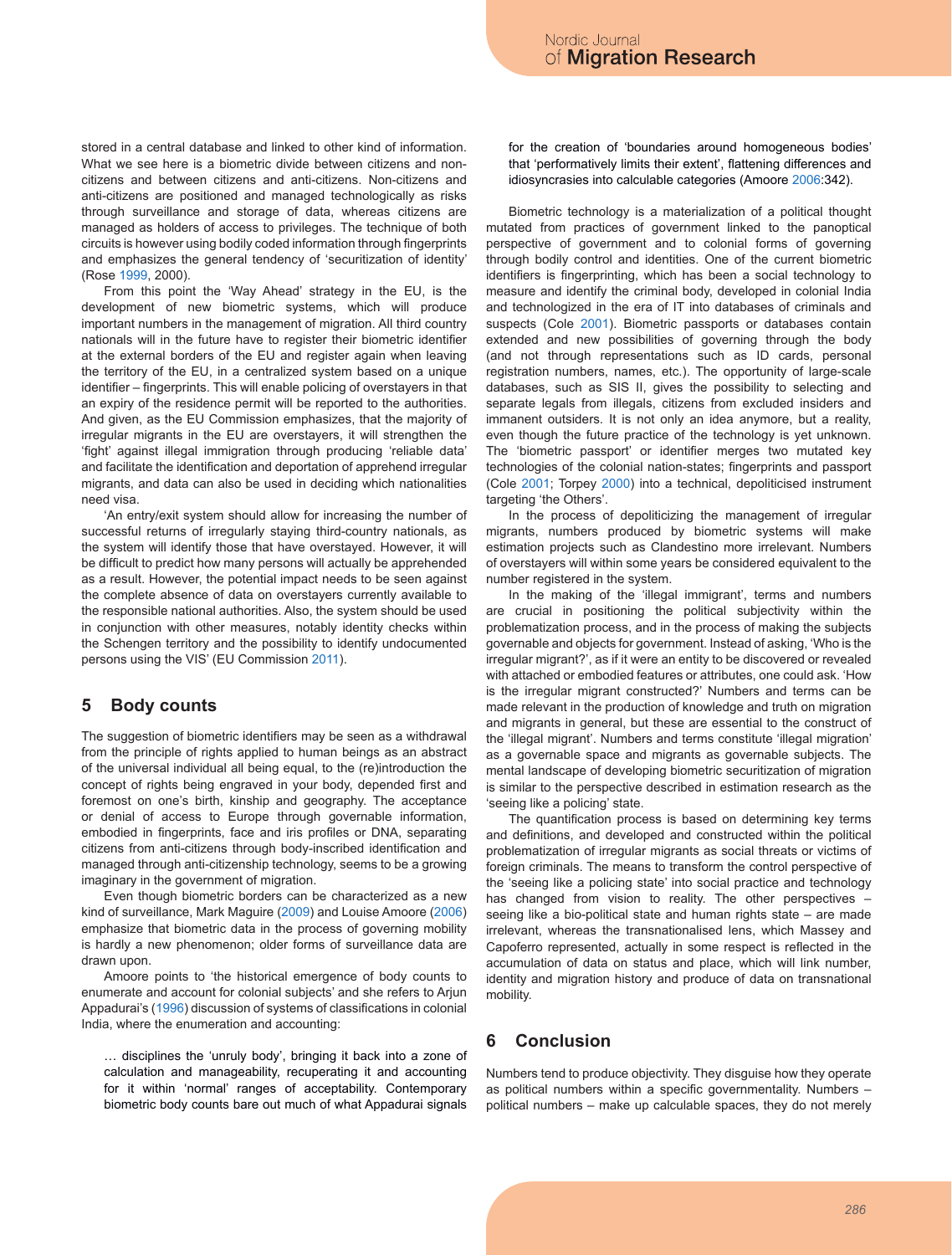stored in a central database and linked to other kind of information. What we see here is a biometric divide between citizens and noncitizens and between citizens and anti-citizens. Non-citizens and anti-citizens are positioned and managed technologically as risks through surveillance and storage of data, whereas citizens are managed as holders of access to privileges. The technique of both circuits is however using bodily coded information through fingerprints and emphasizes the general tendency of 'securitization of identity' (Rose 1999, 2000).

From this point the 'Way Ahead' strategy in the EU, is the development of new biometric systems, which will produce important numbers in the management of migration. All third country nationals will in the future have to register their biometric identifier at the external borders of the EU and register again when leaving the territory of the EU, in a centralized system based on a unique identifier – fingerprints. This will enable policing of overstayers in that an expiry of the residence permit will be reported to the authorities. And given, as the EU Commission emphasizes, that the majority of irregular migrants in the EU are overstayers, it will strengthen the 'fight' against illegal immigration through producing 'reliable data' and facilitate the identification and deportation of apprehend irregular migrants, and data can also be used in deciding which nationalities need visa.

'An entry/exit system should allow for increasing the number of successful returns of irregularly staying third-country nationals, as the system will identify those that have overstayed. However, it will be difficult to predict how many persons will actually be apprehended as a result. However, the potential impact needs to be seen against the complete absence of data on overstayers currently available to the responsible national authorities. Also, the system should be used in conjunction with other measures, notably identity checks within the Schengen territory and the possibility to identify undocumented persons using the VIS' (EU Commission 2011).

# **5 Body counts**

The suggestion of biometric identifiers may be seen as a withdrawal from the principle of rights applied to human beings as an abstract of the universal individual all being equal, to the (re)introduction the concept of rights being engraved in your body, depended first and foremost on one's birth, kinship and geography. The acceptance or denial of access to Europe through governable information, embodied in fingerprints, face and iris profiles or DNA, separating citizens from anti-citizens through body-inscribed identification and managed through anti-citizenship technology, seems to be a growing imaginary in the government of migration.

Even though biometric borders can be characterized as a new kind of surveillance, Mark Maguire (2009) and Louise Amoore (2006) emphasize that biometric data in the process of governing mobility is hardly a new phenomenon; older forms of surveillance data are drawn upon.

Amoore points to 'the historical emergence of body counts to enumerate and account for colonial subjects' and she refers to Arjun Appadurai's (1996) discussion of systems of classifications in colonial India, where the enumeration and accounting:

… disciplines the 'unruly body', bringing it back into a zone of calculation and manageability, recuperating it and accounting for it within 'normal' ranges of acceptability. Contemporary biometric body counts bare out much of what Appadurai signals for the creation of 'boundaries around homogeneous bodies' that 'performatively limits their extent', flattening differences and idiosyncrasies into calculable categories (Amoore 2006:342).

Biometric technology is a materialization of a political thought mutated from practices of government linked to the panoptical perspective of government and to colonial forms of governing through bodily control and identities. One of the current biometric identifiers is fingerprinting, which has been a social technology to measure and identify the criminal body, developed in colonial India and technologized in the era of IT into databases of criminals and suspects (Cole 2001). Biometric passports or databases contain extended and new possibilities of governing through the body (and not through representations such as ID cards, personal registration numbers, names, etc.). The opportunity of large-scale databases, such as SIS II, gives the possibility to selecting and separate legals from illegals, citizens from excluded insiders and immanent outsiders. It is not only an idea anymore, but a reality, even though the future practice of the technology is yet unknown. The 'biometric passport' or identifier merges two mutated key technologies of the colonial nation-states; fingerprints and passport (Cole 2001; Torpey 2000) into a technical, depoliticised instrument targeting 'the Others'.

In the process of depoliticizing the management of irregular migrants, numbers produced by biometric systems will make estimation projects such as Clandestino more irrelevant. Numbers of overstayers will within some years be considered equivalent to the number registered in the system.

In the making of the 'illegal immigrant', terms and numbers are crucial in positioning the political subjectivity within the problematization process, and in the process of making the subjects governable and objects for government. Instead of asking, 'Who is the irregular migrant?', as if it were an entity to be discovered or revealed with attached or embodied features or attributes, one could ask. 'How is the irregular migrant constructed?' Numbers and terms can be made relevant in the production of knowledge and truth on migration and migrants in general, but these are essential to the construct of the 'illegal migrant'. Numbers and terms constitute 'illegal migration' as a governable space and migrants as governable subjects. The mental landscape of developing biometric securitization of migration is similar to the perspective described in estimation research as the 'seeing like a policing' state.

The quantification process is based on determining key terms and definitions, and developed and constructed within the political problematization of irregular migrants as social threats or victims of foreign criminals. The means to transform the control perspective of the 'seeing like a policing state' into social practice and technology has changed from vision to reality. The other perspectives seeing like a bio-political state and human rights state – are made irrelevant, whereas the transnationalised lens, which Massey and Capoferro represented, actually in some respect is reflected in the accumulation of data on status and place, which will link number, identity and migration history and produce of data on transnational mobility.

# **6 Conclusion**

Numbers tend to produce objectivity. They disguise how they operate as political numbers within a specific governmentality. Numbers – political numbers – make up calculable spaces, they do not merely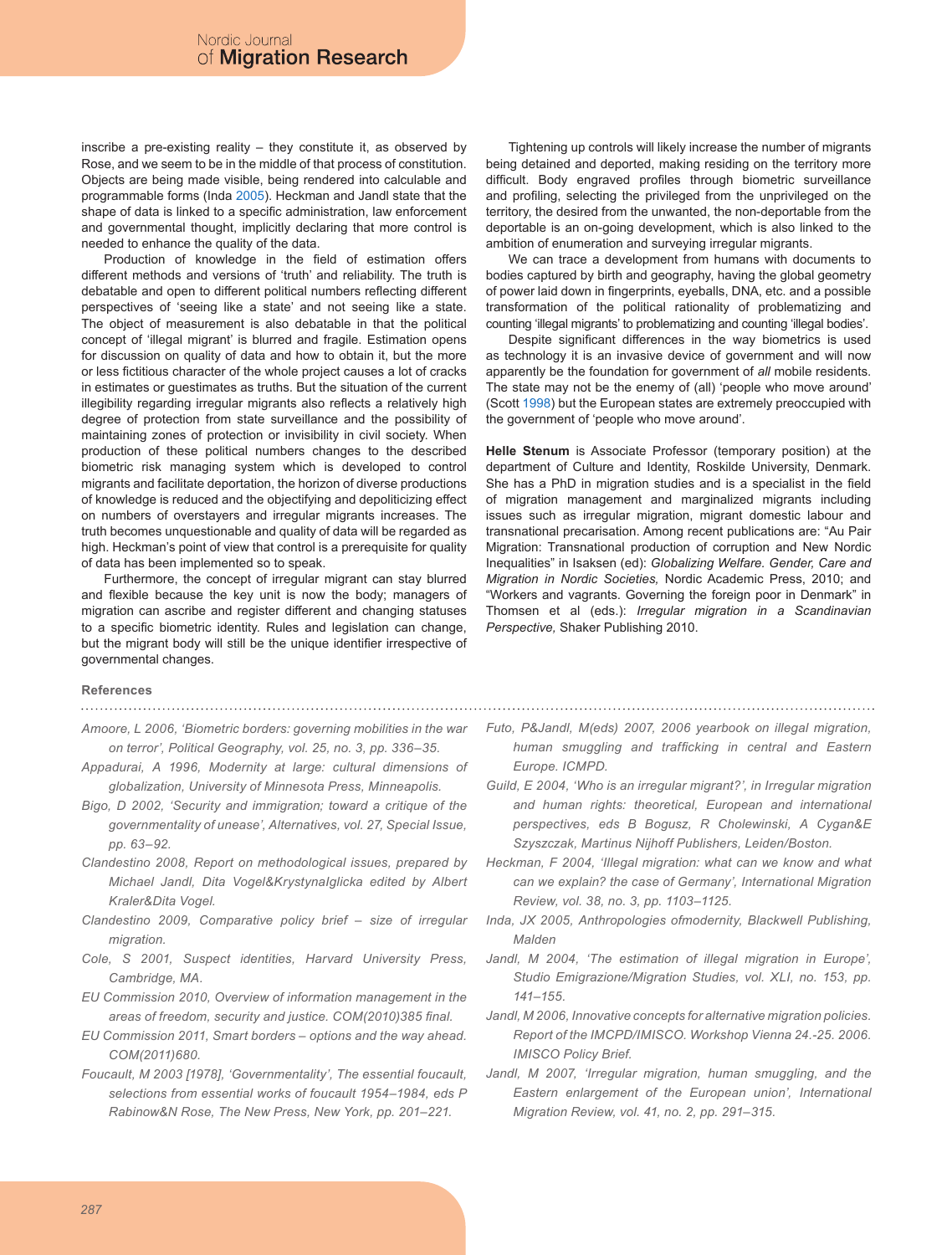inscribe a pre-existing reality – they constitute it, as observed by Rose, and we seem to be in the middle of that process of constitution. Objects are being made visible, being rendered into calculable and programmable forms (Inda 2005). Heckman and Jandl state that the shape of data is linked to a specific administration, law enforcement and governmental thought, implicitly declaring that more control is needed to enhance the quality of the data.

Production of knowledge in the field of estimation offers different methods and versions of 'truth' and reliability. The truth is debatable and open to different political numbers reflecting different perspectives of 'seeing like a state' and not seeing like a state. The object of measurement is also debatable in that the political concept of 'illegal migrant' is blurred and fragile. Estimation opens for discussion on quality of data and how to obtain it, but the more or less fictitious character of the whole project causes a lot of cracks in estimates or guestimates as truths. But the situation of the current illegibility regarding irregular migrants also reflects a relatively high degree of protection from state surveillance and the possibility of maintaining zones of protection or invisibility in civil society. When production of these political numbers changes to the described biometric risk managing system which is developed to control migrants and facilitate deportation, the horizon of diverse productions of knowledge is reduced and the objectifying and depoliticizing effect on numbers of overstayers and irregular migrants increases. The truth becomes unquestionable and quality of data will be regarded as high. Heckman's point of view that control is a prerequisite for quality of data has been implemented so to speak.

Furthermore, the concept of irregular migrant can stay blurred and flexible because the key unit is now the body; managers of migration can ascribe and register different and changing statuses to a specific biometric identity. Rules and legislation can change, but the migrant body will still be the unique identifier irrespective of governmental changes.

Tightening up controls will likely increase the number of migrants being detained and deported, making residing on the territory more difficult. Body engraved profiles through biometric surveillance and profiling, selecting the privileged from the unprivileged on the territory, the desired from the unwanted, the non-deportable from the deportable is an on-going development, which is also linked to the ambition of enumeration and surveying irregular migrants.

We can trace a development from humans with documents to bodies captured by birth and geography, having the global geometry of power laid down in fingerprints, eyeballs, DNA, etc. and a possible transformation of the political rationality of problematizing and counting 'illegal migrants' to problematizing and counting 'illegal bodies'.

Despite significant differences in the way biometrics is used as technology it is an invasive device of government and will now apparently be the foundation for government of *all* mobile residents. The state may not be the enemy of (all) 'people who move around' (Scott 1998) but the European states are extremely preoccupied with the government of 'people who move around'.

**Helle Stenum** is Associate Professor (temporary position) at the department of Culture and Identity, Roskilde University, Denmark. She has a PhD in migration studies and is a specialist in the field of migration management and marginalized migrants including issues such as irregular migration, migrant domestic labour and transnational precarisation. Among recent publications are: "Au Pair Migration: Transnational production of corruption and New Nordic Inequalities" in Isaksen (ed): *Globalizing Welfare. Gender, Care and Migration in Nordic Societies,* Nordic Academic Press, 2010; and "Workers and vagrants. Governing the foreign poor in Denmark" in Thomsen et al (eds.): *Irregular migration in a Scandinavian Perspective,* Shaker Publishing 2010.

#### **References**

## 

- *Amoore, L 2006, 'Biometric borders: governing mobilities in the war on terror', Political Geography, vol. 25, no. 3, pp. 336–35.*
- *Appadurai, A 1996, Modernity at large: cultural dimensions of globalization, University of Minnesota Press, Minneapolis.*
- *Bigo, D 2002, 'Security and immigration; toward a critique of the governmentality of unease', Alternatives, vol. 27, Special Issue, pp. 63–92.*
- *Clandestino 2008, Report on methodological issues, prepared by Michael Jandl, Dita Vogel&KrystynaIglicka edited by Albert Kraler&Dita Vogel.*
- *Clandestino 2009, Comparative policy brief size of irregular migration.*
- *Cole, S 2001, Suspect identities, Harvard University Press, Cambridge, MA.*
- *EU Commission 2010, Overview of information management in the areas of freedom, security and justice. COM(2010)385 final.*
- *EU Commission 2011, Smart borders options and the way ahead. COM(2011)680.*
- *Foucault, M 2003 [1978], 'Governmentality', The essential foucault, selections from essential works of foucault 1954–1984, eds P Rabinow&N Rose, The New Press, New York, pp. 201–221.*
- *Futo, P&Jandl, M(eds) 2007, 2006 yearbook on illegal migration, human smuggling and trafficking in central and Eastern Europe. ICMPD.*
- *Guild, E 2004, 'Who is an irregular migrant?', in Irregular migration and human rights: theoretical, European and international perspectives, eds B Bogusz, R Cholewinski, A Cygan&E Szyszczak, Martinus Nijhoff Publishers, Leiden/Boston.*
- *Heckman, F 2004, 'Illegal migration: what can we know and what can we explain? the case of Germany', International Migration Review, vol. 38, no. 3, pp. 1103–1125.*
- *Inda, JX 2005, Anthropologies ofmodernity, Blackwell Publishing, Malden*
- Jandl, M 2004, 'The estimation of illegal migration in Europe', *Studio Emigrazione/Migration Studies, vol. XLI, no. 153, pp. 141–155.*
- *Jandl, M 2006, Innovative concepts for alternative migration policies. Report of the IMCPD/IMISCO. Workshop Vienna 24.-25. 2006. IMISCO Policy Brief.*
- *Jandl, M 2007, 'Irregular migration, human smuggling, and the Eastern enlargement of the European union', International Migration Review, vol. 41, no. 2, pp. 291–315.*